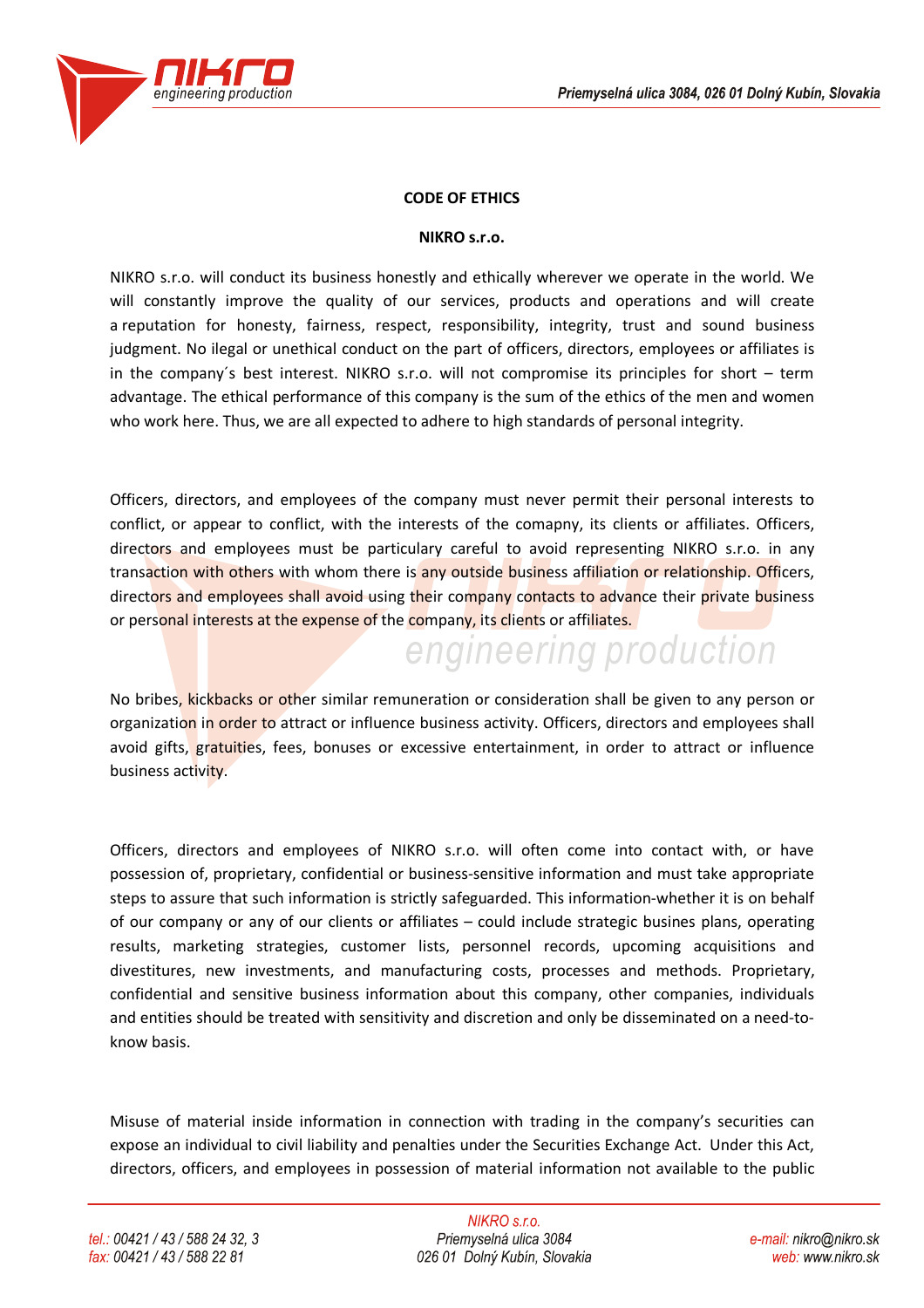

## **CODE OF ETHICS**

## **NIKRO s.r.o.**

NIKRO s.r.o. will conduct its business honestly and ethically wherever we operate in the world. We will constantly improve the quality of our services, products and operations and will create a reputation for honesty, fairness, respect, responsibility, integrity, trust and sound business judgment. No ilegal or unethical conduct on the part of officers, directors, employees or affiliates is in the company´s best interest. NIKRO s.r.o. will not compromise its principles for short – term advantage. The ethical performance of this company is the sum of the ethics of the men and women who work here. Thus, we are all expected to adhere to high standards of personal integrity.

Officers, directors, and employees of the company must never permit their personal interests to conflict, or appear to conflict, with the interests of the comapny, its clients or affiliates. Officers, directors and employees must be particulary careful to avoid representing NIKRO s.r.o. in any transaction with others with whom there is any outside business affiliation or relationship. Officers, directors and employees shall avoid using their company contacts to advance their private business or personal interests at the expense of the company, its clients or affiliates.

No bribes, kickbacks or other similar remuneration or consideration shall be given to any person or organization in order to attract or influence business activity. Officers, directors and employees shall avoid gifts, gratuities, fees, bonuses or excessive entertainment, in order to attract or influence business activity.

engineering production

Officers, directors and employees of NIKRO s.r.o. will often come into contact with, or have possession of, proprietary, confidential or business-sensitive information and must take appropriate steps to assure that such information is strictly safeguarded. This information-whether it is on behalf of our company or any of our clients or affiliates – could include strategic busines plans, operating results, marketing strategies, customer lists, personnel records, upcoming acquisitions and divestitures, new investments, and manufacturing costs, processes and methods. Proprietary, confidential and sensitive business information about this company, other companies, individuals and entities should be treated with sensitivity and discretion and only be disseminated on a need-toknow basis.

Misuse of material inside information in connection with trading in the company's securities can expose an individual to civil liability and penalties under the Securities Exchange Act. Under this Act, directors, officers, and employees in possession of material information not available to the public